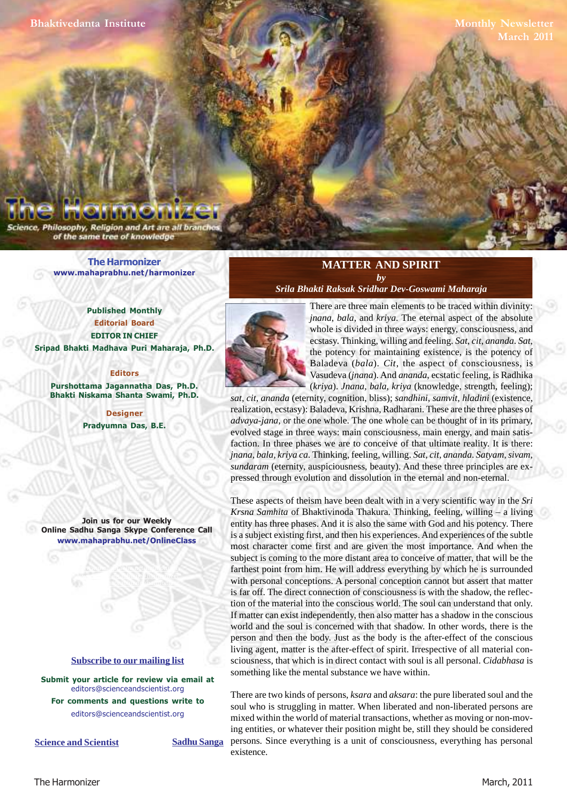**Monthly Newsletter March 2011**

Philosophy, Religion and Art are all brand of the same tree of knowledge

> **[The Harmonizer](http://mahaprabhu.net/harmonizer) www.mahaprabhu.net/harmonizer**

**Published Monthly Editorial Board EDITOR IN CHIEF [Sripad Bhakti Madhava Puri Maharaja, Ph.D.](http://mahaprabhu.net/sadhusanga/blog1.php/2009/10/01/affectionate-guardians)**

# **Editors**

**Purshottama Jagannatha Das, Ph.D. Bhakti Niskama Shanta Swami, Ph.D.**

> **Designer Pradyumna Das, B.E.**

**Join us for our Weekly Online Sadhu Sanga Skype Conference Call www.mahaprabhu.net/OnlineClass**

> www.mahaprabhu.net/harmonizer www.mahaprabhu.net/harmonizer www.mahaprabhu.net/harmonizer

#### **<u>Subscribe to our mailing list</u>**

**Submit your article for review via email at** editors@scienceandscientist.org

**For comments and questions write to** editors@scienceandscientist.org

**Science and Scientist Sadhu Sanga** 

## **MATTER AND SPIRIT** *by*

*[Srila Bhakti Raksak Sridhar Dev-Goswami Maharaja](http://www.scsmath.com/docs/sridhar_maharaj.html)*



 . Baladeva (*bala*). *Cit*, the aspect of consciousness, is There are three main elements to be traced within divinity: *jnana*, *bala*, and *kriya*. The eternal aspect of the absolute whole is divided in three ways: energy, consciousness, and ecstasy. Thinking, willing and feeling. *Sat*, *cit*, *ananda*. *Sat*, the potency for maintaining existence, is the potency of Vasudeva (*jnana*). And *ananda*, ecstatic feeling, is Radhika (*kriya*). *Jnana, bala, kriya* (knowledge, strength, feeling);

*sat, cit, ananda* (eternity, cognition, bliss); *sandhini, samvit, hladini* (existence, realization, ecstasy): Baladeva, Krishna, Radharani. These are the three phases of *advaya-jana*, or the one whole. The one whole can be thought of in its primary, evolved stage in three ways: main consciousness, main energy, and main satisfaction. In three phases we are to conceive of that ultimate reality. It is there: *jnana, bala, kriya ca*. Thinking, feeling, willing. *Sat, cit, ananda*. *Satyam, sivam, sundaram* (eternity, auspiciousness, beauty). And these three principles are expressed through evolution and dissolution in the eternal and non-eternal.

These aspects of theism have been dealt with in a very scientific way in the *Sri Krsna Samhita* of Bhaktivinoda Thakura. Thinking, feeling, willing – a living entity has three phases. And it is also the same with God and his potency. There is a subject existing first, and then his experiences. And experiences of the subtle most character come first and are given the most importance. And when the subject is coming to the more distant area to conceive of matter, that will be the farthest point from him. He will address everything by which he is surrounded with personal conceptions. A personal conception cannot but assert that matter is far off. The direct connection of consciousness is with the shadow, the reflection of the material into the conscious world. The soul can understand that only. If matter can exist independently, then also matter has a shadow in the conscious world and the soul is concerned with that shadow. In other words, there is the person and then the body. Just as the body is the after-effect of the conscious living agent, matter is the after-effect of spirit. Irrespective of all material consciousness, that which is in direct contact with soul is all personal. *Cidabhasa* is something like the mental substance we have within.

There are two kinds of persons, *ksara* and *aksara*: the pure liberated soul and the soul who is struggling in matter. When liberated and non-liberated persons are mixed within the world of material transactions, whether as moving or non-moving entities, or whatever their position might be, still they should be considered persons. Since everything is a unit of consciousness, everything has personal existence.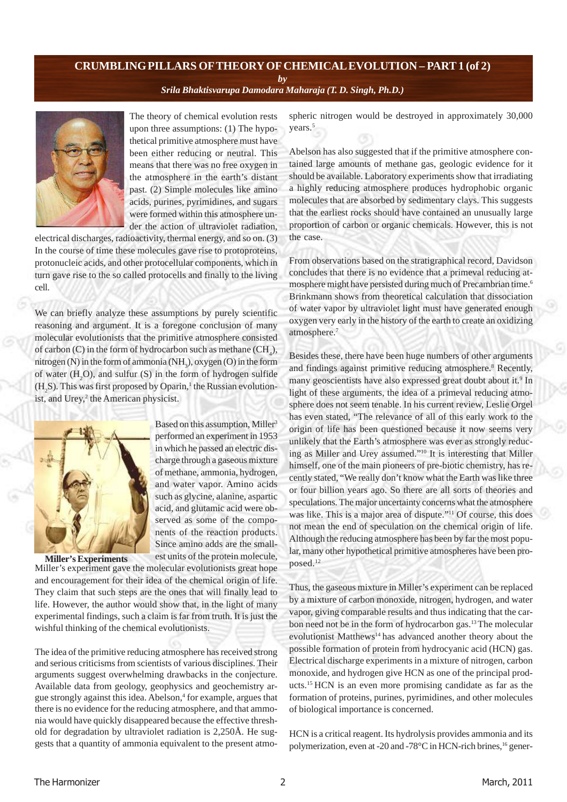# **CRUMBLING PILLARS OFTHEORY OF CHEMICAL EVOLUTION – PART 1 (of 2)**

*by*

*[Srila Bhaktisvarupa Damodara Maharaja \(T. D. Singh, Ph.D.\)](http://mahaprabhu.net/sadhusanga/blog1.php/2009/10/01/affectionate-guardians)*



The theory of chemical evolution rests upon three assumptions: (1) The hypothetical primitive atmosphere must have been either reducing or neutral. This means that there was no free oxygen in the atmosphere in the earth's distant past. (2) Simple molecules like amino acids, purines, pyrimidines, and sugars were formed within this atmosphere under the action of ultraviolet radiation,

electrical discharges, radioactivity, thermal energy, and so on. (3) In the course of time these molecules gave rise to protoproteins, protonucleic acids, and other protocellular components, which in turn gave rise to the so called protocells and finally to the living cell.

We can briefly analyze these assumptions by purely scientific reasoning and argument. It is a foregone conclusion of many molecular evolutionists that the primitive atmosphere consisted of carbon (C) in the form of hydrocarbon such as methane  $(CH_4)$ , mitrogen (N) in the form of ammonia (NH<sub>3</sub>), oxygen (O) in the form of water  $(H<sub>2</sub>O)$ , and sulfur  $(S)$  in the form of hydrogen sulfide  $(H<sub>2</sub>S)$ . This was first proposed by Oparin,<sup>1</sup> the Russian evolutionist, and Urey,<sup>2</sup> the American physicist.



**Miller's Experiments**

Based on this assumption, Miller<sup>3</sup> performed an experiment in 1953 in which he passed an electric discharge through a gaseous mixture of methane, ammonia, hydrogen, and water vapor. Amino acids such as glycine, alanine, aspartic acid, and glutamic acid were observed as some of the components of the reaction products. Since amino adds are the smallest units of the protein molecule,

Miller's experiment gave the molecular evolutionists great hope and encouragement for their idea of the chemical origin of life. They claim that such steps are the ones that will finally lead to life. However, the author would show that, in the light of many experimental findings, such a claim is far from truth. It is just the wishful thinking of the chemical evolutionists.

The idea of the primitive reducing atmosphere has received strong and serious criticisms from scientists of various disciplines. Their arguments suggest overwhelming drawbacks in the conjecture. Available data from geology, geophysics and geochemistry argue strongly against this idea. Abelson,<sup>4</sup> for example, argues that there is no evidence for the reducing atmosphere, and that ammonia would have quickly disappeared because the effective threshold for degradation by ultraviolet radiation is 2,250Å. He suggests that a quantity of ammonia equivalent to the present atmospheric nitrogen would be destroyed in approximately 30,000 years.<sup>5</sup>

Abelson has also suggested that if the primitive atmosphere contained large amounts of methane gas, geologic evidence for it should be available. Laboratory experiments show that irradiating a highly reducing atmosphere produces hydrophobic organic molecules that are absorbed by sedimentary clays. This suggests that the earliest rocks should have contained an unusually large proportion of carbon or organic chemicals. However, this is not the case.

From observations based on the stratigraphical record, Davidson concludes that there is no evidence that a primeval reducing atmosphere might have persisted during much of Precambrian time.<sup>6</sup> Brinkmann shows from theoretical calculation that dissociation of water vapor by ultraviolet light must have generated enough oxygen very early in the history of the earth to create an oxidizing atmosphere.<sup>7</sup>

Besides these, there have been huge numbers of other arguments and findings against primitive reducing atmosphere.<sup>8</sup> Recently, many geoscientists have also expressed great doubt about it.<sup>9</sup> In light of these arguments, the idea of a primeval reducing atmosphere does not seem tenable. In his current review, Leslie Orgel has even stated, "The relevance of all of this early work to the origin of life has been questioned because it now seems very unlikely that the Earth's atmosphere was ever as strongly reducing as Miller and Urey assumed."<sup>10</sup> It is interesting that Miller himself, one of the main pioneers of pre-biotic chemistry, has recently stated, "We really don't know what the Earth was like three or four billion years ago. So there are all sorts of theories and speculations. The major uncertainty concerns what the atmosphere was like. This is a major area of dispute."<sup>11</sup> Of course, this does not mean the end of speculation on the chemical origin of life. Although the reducing atmosphere has been by far the most popular, many other hypothetical primitive atmospheres have been proposed.<sup>12</sup>

Thus, the gaseous mixture in Miller's experiment can be replaced by a mixture of carbon monoxide, nitrogen, hydrogen, and water vapor, giving comparable results and thus indicating that the carbon need not be in the form of hydrocarbon gas.<sup>13</sup>The molecular evolutionist Matthews<sup>14</sup> has advanced another theory about the possible formation of protein from hydrocyanic acid (HCN) gas. Electrical discharge experiments in a mixture of nitrogen, carbon monoxide, and hydrogen give HCN as one of the principal products.<sup>15</sup>HCN is an even more promising candidate as far as the formation of proteins, purines, pyrimidines, and other molecules of biological importance is concerned.

HCN is a critical reagent. Its hydrolysis provides ammonia and its polymerization, even at -20 and -78°C in HCN-rich brines, <sup>16</sup> gener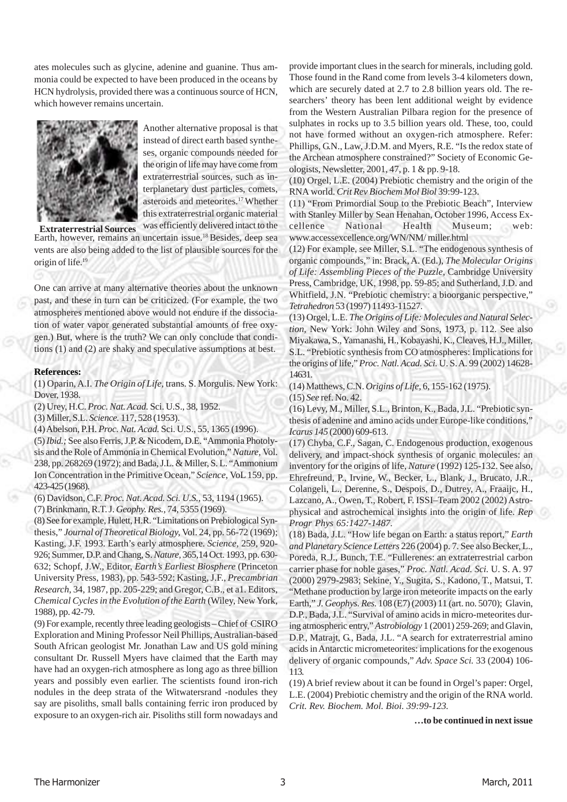ates molecules such as glycine, adenine and guanine. Thus ammonia could be expected to have been produced in the oceans by HCN hydrolysis, provided there was a continuous source of HCN, which however remains uncertain.



Another alternative proposal is that instead of direct earth based syntheses, organic compounds needed for the origin of life may have come from extraterrestrial sources, such as interplanetary dust particles, comets, asteroids and meteorites.<sup>17</sup>Whether this extraterrestrial organic material

was efficiently delivered intact to the Earth, however, remains an uncertain issue.<sup>18</sup> Besides, deep sea vents are also being added to the list of plausible sources for the origin of life.<sup>19</sup> **Extraterrestrial Sources**

One can arrive at many alternative theories about the unknown past, and these in turn can be criticized. (For example, the two atmospheres mentioned above would not endure if the dissociation of water vapor generated substantial amounts of free oxygen.) But, where is the truth? We can only conclude that conditions (1) and (2) are shaky and speculative assumptions at best.

### **References:**

(1) Oparin, A.I. *The Origin of Life,* trans. S. Morgulis. New York: Dover, 1938.

(2) Urey, H.C. *Proc. Nat. Acad.* Sci. U.S., 38, 1952.

(3) Miller, S.L. *Science.* 117, 528 (1953).

(4) Abelson, P.H. *Proc. Nat. Acad.* Sci. U.S., 55, 1365 (1996).

(5) *Ibid.;* See also Ferris, J.P. & Nicodem, D.E. "Ammonia Photolysis and the Role of Ammonia in Chemical Evolution," *Nature,* Vol. 238, pp. 268269 (1972); and Bada, J.L. & Miller, S. L. "Ammonium Ion Concentration in the Primitive Ocean," *Science,* VoL 159, pp. 423-425 (1968).

(6) Davidson, C.F. *Proc. Nat. Acad. Sci. U.S.,* 53, 1194 (1965).

(7) Brinkmann, R.T. J. *Geophy. Res.,* 74, 5355 (1969).

(8) See for example, Hulett, H.R. "Limitations on Prebiological Synthesis," *Journal of Theoretical Biology,* Vol. 24, pp. 56-72 (1969); Kasting, J.F. 1993. Earth's early atmosphere. *Science,* 259, 920- 926; Summer, D.P. and Chang, S. *Nature,* 365,14 Oct. 1993, pp. 630- 632; Schopf, J.W., Editor, *Earth's Earliest Biosphere* (Princeton University Press, 1983), pp. 543-592; Kasting, J.F., *Precambrian Research,* 34, 1987, pp. 205-229; and Gregor, C.B., et a1. Editors, *Chemical Cycles in the Evolution of the Earth* (Wiley, New York, 1988), pp. 42-79.

(9) For example, recently three leading geologists – Chief of CSIRO Exploration and Mining Professor Neil Phillips, Australian-based South African geologist Mr. Jonathan Law and US gold mining consultant Dr. Russell Myers have claimed that the Earth may have had an oxygen-rich atmosphere as long ago as three billion years and possibly even earlier. The scientists found iron-rich nodules in the deep strata of the Witwatersrand -nodules they say are pisoliths, small balls containing ferric iron produced by exposure to an oxygen-rich air. Pisoliths still form nowadays and

provide important clues in the search for minerals, including gold. Those found in the Rand come from levels 3-4 kilometers down, which are securely dated at 2.7 to 2.8 billion years old. The researchers' theory has been lent additional weight by evidence from the Western Australian Pilbara region for the presence of sulphates in rocks up to 3.5 billion years old. These, too, could not have formed without an oxygen-rich atmosphere. Refer: Phillips, G.N., Law, J.D.M. and Myers, R.E. "Is the redox state of the Archean atmosphere constrained?" Society of Economic Geologists, Newsletter, 2001, 47, p. 1 & pp. 9-18.

(10) Orgel, L.E. (2004) Prebiotic chemistry and the origin of the RNA world. *Crit Rev Biochem Mol Biol* 39:99-123.

(11) "From Primordial Soup to the Prebiotic Beach", Interview with Stanley Miller by Sean Henahan, October 1996, Access Excellence National Health Museum; web: www.accessexcellence.org/WN/NM/ miller.html

(12) For example, see Miller, S.L. "The endogenous synthesis of organic compounds," in: Brack, A. (Ed.), *The Molecular Origins of Life: Assembling Pieces of the Puzzle,* Cambridge University Press, Cambridge, UK, 1998, pp. 59-85; and Sutherland, J.D. and Whitfield, J.N. "Prebiotic chemistry: a bioorganic perspective," *Tetrahedron* 53 (1997) 11493-11527.

(13) Orgel, L.E. *The Origins of Life: Molecules and Natural Selection,* New York: John Wiley and Sons, 1973, p. 112. See also Miyakawa, S., Yamanashi, H., Kobayashi, K., Cleaves, H.J., Miller, S.L. "Prebiotic synthesis from CO atmospheres: Implications for the origins of life," *Proc. Natl. Acad. Sci.* U. S. A. 99 (2002) 14628- 14631.

(14) Matthews, C.N. *Origins of Life,* 6, 155-162 (1975). (15) *See* ref. No. 42.

(16) Levy, M., Miller, S.L., Brinton, K., Bada, J.L. "Prebiotic synthesis of adenine and amino acids under Europe-like conditions," *Icarus 145* (2000) 609-613.

(17) Chyba, C.F., Sagan, C. Endogenous production, exogenous delivery, and impact-shock synthesis of organic molecules: an inventory for the origins of life, *Nature* (1992) 125-132. See also, Ehrefreund, P., Irvine, W., Becker, L., Blank, J., Brucato, J.R., Colangeli, L., Derenne, S., Despois, D., Dutrey, A., Fraaijc, H., Lazcano, A., Owen, T., Robert, F. ISSI–Team 2002 (2002) Astrophysical and astrochemical insights into the origin of life. *Rep Progr Phys 65:1427-1487.*

(18) Bada, J.L. "How life began on Earth: a status report," *Earth and Planetary Science Letters* 226 (2004) p. 7. See also Becker, L., Poreda, R.J., Bunch, T.E. "Fullerenes: an extraterrestrial carbon carrier phase for noble gases," *Proc. Natl. Acad. Sci.* U. S. A. 97 (2000) 2979-2983; Sekine, Y., Sugita, S., Kadono, T., Matsui, T. "Methane production by large iron meteorite impacts on the early Earth," *J. Geophys. Res.* 108 (E7) (2003) 11 (art. no. 5070); Glavin, D.P., Bada, J.L. "Survival of amino acids in micro-meteorites during atmospheric entry," *Astrobiology* 1 (2001) 259-269; and Glavin, D.P., Matrajt, G., Bada, J.L. "A search for extraterrestrial amino acids in Antarctic micrometeorites: implications for the exogenous delivery of organic compounds," *Adv. Space Sci.* 33 (2004) 106- 113.

(19) A brief review about it can be found in Orgel's paper: Orgel, L.E. (2004) Prebiotic chemistry and the origin of the RNA world. *Crit. Rev. Biochem. Mol. Bioi. 39:99-123.*

**…to be continued in next issue**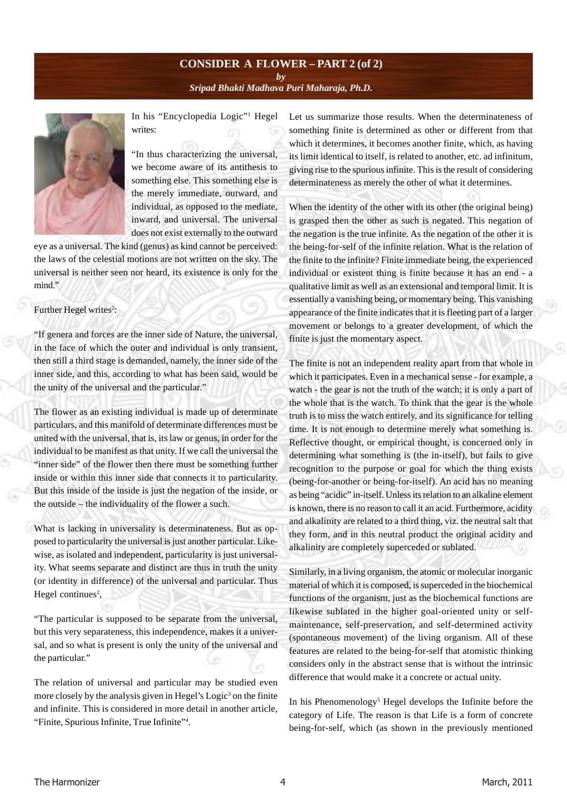# **CONSIDER A FLOWER – PART 2 (of 2)** *by [Sripad Bhakti Madhava Puri Maharaja, Ph.D.](http://mahaprabhu.net/sadhusanga/blog1.php/2009/10/01/affectionate-guardians)*



In his "Encyclopedia Logic"<sup>1</sup> Hegel writes:

"In thus characterizing the universal, we become aware of its antithesis to something else. This something else is the merely immediate, outward, and individual, as opposed to the mediate, inward, and universal. The universal does not exist externally to the outward

eye as a universal. The kind (genus) as kind cannot be perceived: the laws of the celestial motions are not written on the sky. The universal is neither seen nor heard, its existence is only for the mind."

# Further Hegel writes<sup>2</sup>:

"If genera and forces are the inner side of Nature, the universal, in the face of which the outer and individual is only transient, then still a third stage is demanded, namely, the inner side of the inner side, and this, according to what has been said, would be the unity of the universal and the particular."

The flower as an existing individual is made up of determinate particulars, and this manifold of determinate differences must be united with the universal, that is, its law or genus, in order for the individual to be manifest as that unity. If we call the universal the "inner side" of the flower then there must be something further inside or within this inner side that connects it to particularity. But this inside of the inside is just the negation of the inside, or the outside – the individuality of the flower a such.

What is lacking in universality is determinateness. But as opposed to particularity the universal is just another particular. Likewise, as isolated and independent, particularity is just universality. What seems separate and distinct are thus in truth the unity (or identity in difference) of the universal and particular. Thus Hegel continues<sup>2</sup>,

"The particular is supposed to be separate from the universal, but this very separateness, this independence, makes it a universal, and so what is present is only the unity of the universal and the particular."

The relation of universal and particular may be studied even more closely by the analysis given in Hegel's Logic<sup>3</sup> on the finite and infinite. This is considered in more detail in another article, "Finite, Spurious Infinite, True Infinite"<sup>4</sup> .

Let us summarize those results. When the determinateness of something finite is determined as other or different from that which it determines, it becomes another finite, which, as having its limit identical to itself, is related to another, etc. ad infinitum, giving rise to the spurious infinite. This is the result of considering determinateness as merely the other of what it determines.

When the identity of the other with its other (the original being) is grasped then the other as such is negated. This negation of the negation is the true infinite. As the negation of the other it is the being-for-self of the infinite relation. What is the relation of the finite to the infinite? Finite immediate being, the experienced individual or existent thing is finite because it has an end - a qualitative limit as well as an extensional and temporal limit. It is essentially a vanishing being, or momentary being. This vanishing appearance of the finite indicates that it is fleeting part of a larger movement or belongs to a greater development, of which the finite is just the momentary aspect.

The finite is not an independent reality apart from that whole in which it participates. Even in a mechanical sense - for example, a watch - the gear is not the truth of the watch; it is only a part of the whole that is the watch. To think that the gear is the whole truth is to miss the watch entirely, and its significance for telling time. It is not enough to determine merely what something is. Reflective thought, or empirical thought, is concerned only in determining what something is (the in-itself), but fails to give recognition to the purpose or goal for which the thing exists (being-for-another or being-for-itself). An acid has no meaning as being "acidic" in-itself. Unless its relation to an alkaline element is known, there is no reason to call it an acid. Furthermore, acidity and alkalinity are related to a third thing, viz. the neutral salt that they form, and in this neutral product the original acidity and alkalinity are completely superceded or sublated.

Similarly, in a living organism, the atomic or molecular inorganic material of which it is composed, is superceded in the biochemical functions of the organism, just as the biochemical functions are likewise sublated in the higher goal-oriented unity or selfmaintenance, self-preservation, and self-determined activity (spontaneous movement) of the living organism. All of these features are related to the being-for-self that atomistic thinking considers only in the abstract sense that is without the intrinsic difference that would make it a concrete or actual unity.

In his Phenomenology<sup>5</sup> Hegel develops the Infinite before the category of Life. The reason is that Life is a form of concrete being-for-self, which (as shown in the previously mentioned